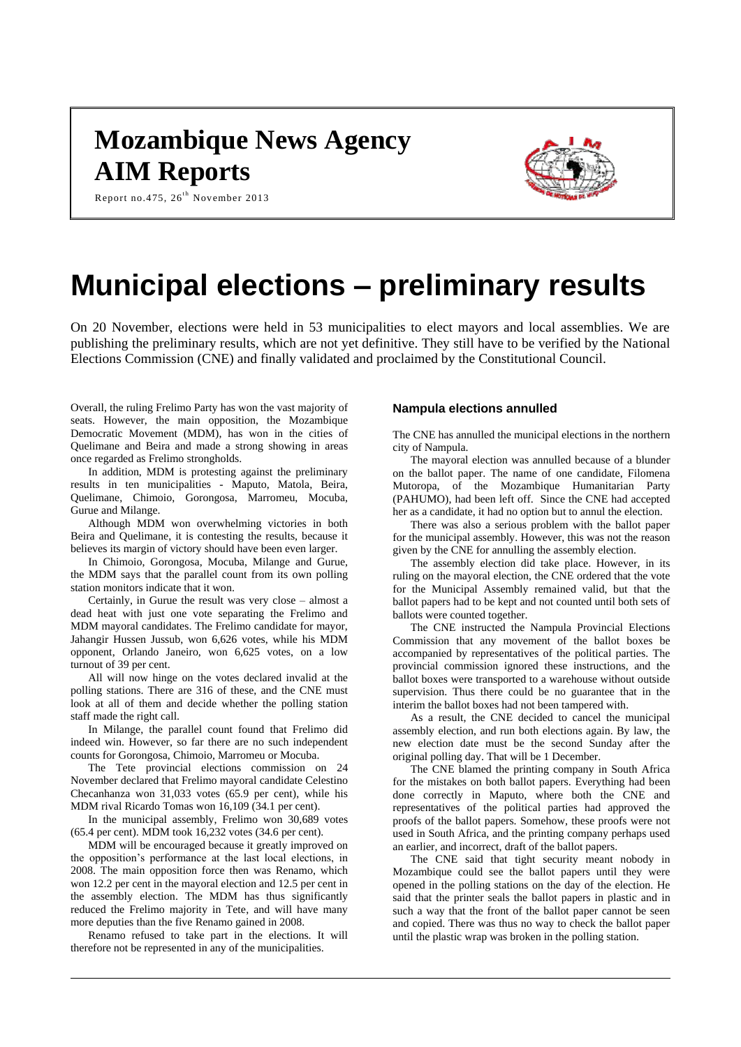# **Mozambique News Agency AIM Reports**



Report no.475,  $26^{th}$  November 2013

# **Municipal elections – preliminary results**

On 20 November, elections were held in 53 municipalities to elect mayors and local assemblies. We are publishing the preliminary results, which are not yet definitive. They still have to be verified by the National Elections Commission (CNE) and finally validated and proclaimed by the Constitutional Council.

Overall, the ruling Frelimo Party has won the vast majority of seats. However, the main opposition, the Mozambique Democratic Movement (MDM), has won in the cities of Quelimane and Beira and made a strong showing in areas once regarded as Frelimo strongholds.

In addition, MDM is protesting against the preliminary results in ten municipalities - Maputo, Matola, Beira, Quelimane, Chimoio, Gorongosa, Marromeu, Mocuba, Gurue and Milange.

Although MDM won overwhelming victories in both Beira and Quelimane, it is contesting the results, because it believes its margin of victory should have been even larger.

In Chimoio, Gorongosa, Mocuba, Milange and Gurue, the MDM says that the parallel count from its own polling station monitors indicate that it won.

Certainly, in Gurue the result was very close – almost a dead heat with just one vote separating the Frelimo and MDM mayoral candidates. The Frelimo candidate for mayor, Jahangir Hussen Jussub, won 6,626 votes, while his MDM opponent, Orlando Janeiro, won 6,625 votes, on a low turnout of 39 per cent.

All will now hinge on the votes declared invalid at the polling stations. There are 316 of these, and the CNE must look at all of them and decide whether the polling station staff made the right call.

In Milange, the parallel count found that Frelimo did indeed win. However, so far there are no such independent counts for Gorongosa, Chimoio, Marromeu or Mocuba.

The Tete provincial elections commission on 24 November declared that Frelimo mayoral candidate Celestino Checanhanza won 31,033 votes (65.9 per cent), while his MDM rival Ricardo Tomas won 16,109 (34.1 per cent).

In the municipal assembly, Frelimo won 30,689 votes (65.4 per cent). MDM took 16,232 votes (34.6 per cent).

MDM will be encouraged because it greatly improved on the opposition's performance at the last local elections, in 2008. The main opposition force then was Renamo, which won 12.2 per cent in the mayoral election and 12.5 per cent in the assembly election. The MDM has thus significantly reduced the Frelimo majority in Tete, and will have many more deputies than the five Renamo gained in 2008.

Renamo refused to take part in the elections. It will therefore not be represented in any of the municipalities.

# **Nampula elections annulled**

The CNE has annulled the municipal elections in the northern city of Nampula.

The mayoral election was annulled because of a blunder on the ballot paper. The name of one candidate, Filomena Mutoropa, of the Mozambique Humanitarian Party (PAHUMO), had been left off. Since the CNE had accepted her as a candidate, it had no option but to annul the election.

There was also a serious problem with the ballot paper for the municipal assembly. However, this was not the reason given by the CNE for annulling the assembly election.

The assembly election did take place. However, in its ruling on the mayoral election, the CNE ordered that the vote for the Municipal Assembly remained valid, but that the ballot papers had to be kept and not counted until both sets of ballots were counted together.

The CNE instructed the Nampula Provincial Elections Commission that any movement of the ballot boxes be accompanied by representatives of the political parties. The provincial commission ignored these instructions, and the ballot boxes were transported to a warehouse without outside supervision. Thus there could be no guarantee that in the interim the ballot boxes had not been tampered with.

As a result, the CNE decided to cancel the municipal assembly election, and run both elections again. By law, the new election date must be the second Sunday after the original polling day. That will be 1 December.

The CNE blamed the printing company in South Africa for the mistakes on both ballot papers. Everything had been done correctly in Maputo, where both the CNE and representatives of the political parties had approved the proofs of the ballot papers. Somehow, these proofs were not used in South Africa, and the printing company perhaps used an earlier, and incorrect, draft of the ballot papers.

The CNE said that tight security meant nobody in Mozambique could see the ballot papers until they were opened in the polling stations on the day of the election. He said that the printer seals the ballot papers in plastic and in such a way that the front of the ballot paper cannot be seen and copied. There was thus no way to check the ballot paper until the plastic wrap was broken in the polling station.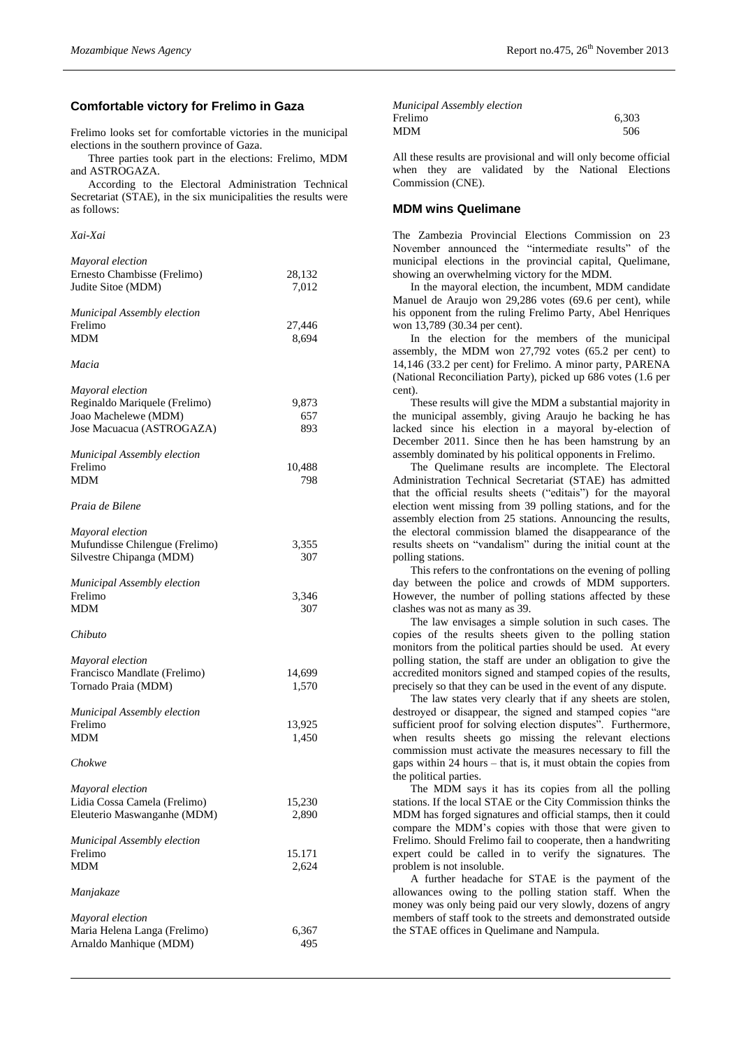#### **Comfortable victory for Frelimo in Gaza**

Frelimo looks set for comfortable victories in the municipal elections in the southern province of Gaza.

Three parties took part in the elections: Frelimo, MDM and ASTROGAZA.

According to the Electoral Administration Technical Secretariat (STAE), in the six municipalities the results were as follows:

*Xai-Xai*

| Mayoral election<br>Ernesto Chambisse (Frelimo)<br>Judite Sitoe (MDM)                                  | 28,132<br>7,012     |
|--------------------------------------------------------------------------------------------------------|---------------------|
| Municipal Assembly election<br>Frelimo<br><b>MDM</b>                                                   | 27,446<br>8,694     |
| Macia                                                                                                  |                     |
| Mayoral election<br>Reginaldo Mariquele (Frelimo)<br>Joao Machelewe (MDM)<br>Jose Macuacua (ASTROGAZA) | 9,873<br>657<br>893 |
| Municipal Assembly election<br>Frelimo<br>MDM                                                          | 10,488<br>798       |
| Praia de Bilene                                                                                        |                     |
| Mayoral election<br>Mufundisse Chilengue (Frelimo)<br>Silvestre Chipanga (MDM)                         | 3,355<br>307        |
| Municipal Assembly election<br>Frelimo<br><b>MDM</b>                                                   | 3,346<br>307        |
| Chibuto                                                                                                |                     |
| Mayoral election<br>Francisco Mandlate (Frelimo)<br>Tornado Praia (MDM)                                | 14,699<br>1,570     |
| Municipal Assembly election<br>Frelimo<br><b>MDM</b>                                                   | 13,925<br>1,450     |
| Chokwe                                                                                                 |                     |
| Mayoral election<br>Lidia Cossa Camela (Frelimo)<br>Eleuterio Maswanganhe (MDM)                        | 15,230<br>2,890     |
| Municipal Assembly election<br>Frelimo<br><b>MDM</b>                                                   | 15.171<br>2,624     |
| Manjakaze                                                                                              |                     |
| Mayoral election<br>Maria Helena Langa (Frelimo)<br>Arnaldo Manhique (MDM)                             | 6,367<br>495        |

| Municipal Assembly election |       |
|-----------------------------|-------|
| Frelimo                     | 6.303 |
| MDM                         | 506   |

All these results are provisional and will only become official when they are validated by the National Elections Commission (CNE).

### **MDM wins Quelimane**

The Zambezia Provincial Elections Commission on 23 November announced the "intermediate results" of the municipal elections in the provincial capital, Quelimane, showing an overwhelming victory for the MDM.

In the mayoral election, the incumbent, MDM candidate Manuel de Araujo won 29,286 votes (69.6 per cent), while his opponent from the ruling Frelimo Party, Abel Henriques won 13,789 (30.34 per cent).

In the election for the members of the municipal assembly, the MDM won 27,792 votes (65.2 per cent) to 14,146 (33.2 per cent) for Frelimo. A minor party, PARENA (National Reconciliation Party), picked up 686 votes (1.6 per cent).

These results will give the MDM a substantial majority in the municipal assembly, giving Araujo he backing he has lacked since his election in a mayoral by-election of December 2011. Since then he has been hamstrung by an assembly dominated by his political opponents in Frelimo.

The Quelimane results are incomplete. The Electoral Administration Technical Secretariat (STAE) has admitted that the official results sheets ("editais") for the mayoral election went missing from 39 polling stations, and for the assembly election from 25 stations. Announcing the results, the electoral commission blamed the disappearance of the results sheets on "vandalism" during the initial count at the polling stations.

This refers to the confrontations on the evening of polling day between the police and crowds of MDM supporters. However, the number of polling stations affected by these clashes was not as many as 39.

The law envisages a simple solution in such cases. The copies of the results sheets given to the polling station monitors from the political parties should be used. At every polling station, the staff are under an obligation to give the accredited monitors signed and stamped copies of the results, precisely so that they can be used in the event of any dispute.

The law states very clearly that if any sheets are stolen, destroyed or disappear, the signed and stamped copies "are sufficient proof for solving election disputes". Furthermore, when results sheets go missing the relevant elections commission must activate the measures necessary to fill the gaps within 24 hours – that is, it must obtain the copies from the political parties.

The MDM says it has its copies from all the polling stations. If the local STAE or the City Commission thinks the MDM has forged signatures and official stamps, then it could compare the MDM's copies with those that were given to Frelimo. Should Frelimo fail to cooperate, then a handwriting expert could be called in to verify the signatures. The problem is not insoluble.

A further headache for STAE is the payment of the allowances owing to the polling station staff. When the money was only being paid our very slowly, dozens of angry members of staff took to the streets and demonstrated outside the STAE offices in Quelimane and Nampula.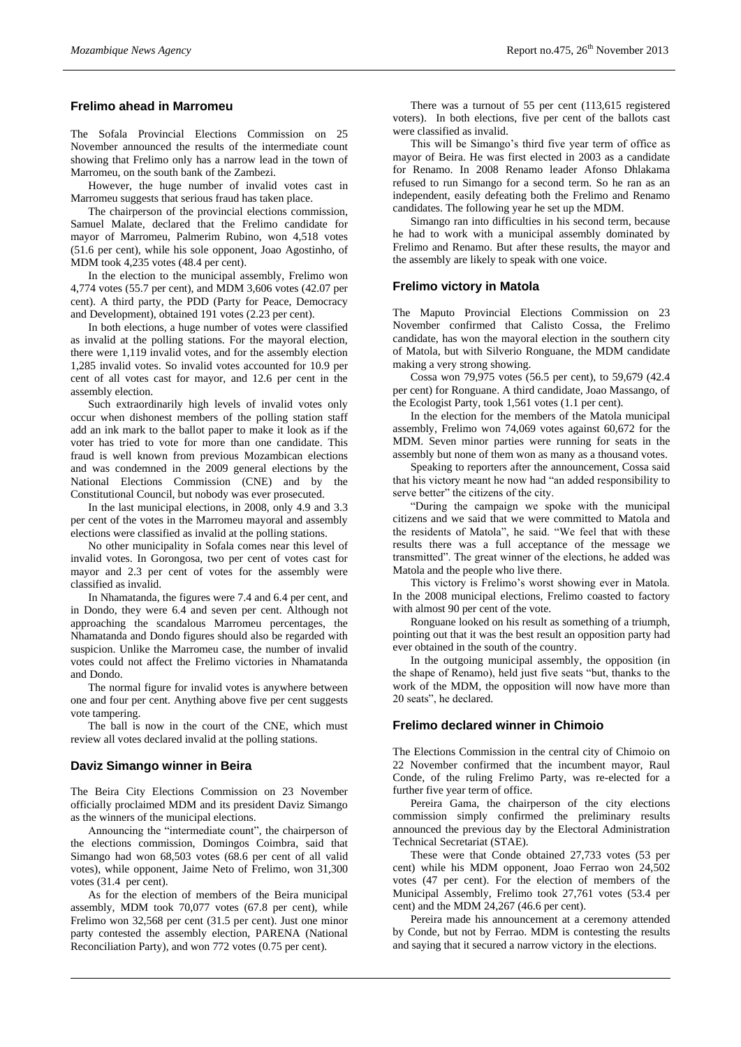# **Frelimo ahead in Marromeu**

The Sofala Provincial Elections Commission on 25 November announced the results of the intermediate count showing that Frelimo only has a narrow lead in the town of Marromeu, on the south bank of the Zambezi.

However, the huge number of invalid votes cast in Marromeu suggests that serious fraud has taken place.

The chairperson of the provincial elections commission, Samuel Malate, declared that the Frelimo candidate for mayor of Marromeu, Palmerim Rubino, won 4,518 votes (51.6 per cent), while his sole opponent, Joao Agostinho, of MDM took 4,235 votes (48.4 per cent).

In the election to the municipal assembly, Frelimo won 4,774 votes (55.7 per cent), and MDM 3,606 votes (42.07 per cent). A third party, the PDD (Party for Peace, Democracy and Development), obtained 191 votes (2.23 per cent).

In both elections, a huge number of votes were classified as invalid at the polling stations. For the mayoral election, there were 1,119 invalid votes, and for the assembly election 1,285 invalid votes. So invalid votes accounted for 10.9 per cent of all votes cast for mayor, and 12.6 per cent in the assembly election.

Such extraordinarily high levels of invalid votes only occur when dishonest members of the polling station staff add an ink mark to the ballot paper to make it look as if the voter has tried to vote for more than one candidate. This fraud is well known from previous Mozambican elections and was condemned in the 2009 general elections by the National Elections Commission (CNE) and by the Constitutional Council, but nobody was ever prosecuted.

In the last municipal elections, in 2008, only 4.9 and 3.3 per cent of the votes in the Marromeu mayoral and assembly elections were classified as invalid at the polling stations.

No other municipality in Sofala comes near this level of invalid votes. In Gorongosa, two per cent of votes cast for mayor and 2.3 per cent of votes for the assembly were classified as invalid.

In Nhamatanda, the figures were 7.4 and 6.4 per cent, and in Dondo, they were 6.4 and seven per cent. Although not approaching the scandalous Marromeu percentages, the Nhamatanda and Dondo figures should also be regarded with suspicion. Unlike the Marromeu case, the number of invalid votes could not affect the Frelimo victories in Nhamatanda and Dondo.

The normal figure for invalid votes is anywhere between one and four per cent. Anything above five per cent suggests vote tampering.

The ball is now in the court of the CNE, which must review all votes declared invalid at the polling stations.

#### **Daviz Simango winner in Beira**

The Beira City Elections Commission on 23 November officially proclaimed MDM and its president Daviz Simango as the winners of the municipal elections.

Announcing the "intermediate count", the chairperson of the elections commission, Domingos Coimbra, said that Simango had won 68,503 votes (68.6 per cent of all valid votes), while opponent, Jaime Neto of Frelimo, won 31,300 votes (31.4 per cent).

As for the election of members of the Beira municipal assembly, MDM took 70,077 votes (67.8 per cent), while Frelimo won 32,568 per cent (31.5 per cent). Just one minor party contested the assembly election, PARENA (National Reconciliation Party), and won 772 votes (0.75 per cent).

There was a turnout of 55 per cent (113,615 registered voters). In both elections, five per cent of the ballots cast were classified as invalid.

This will be Simango's third five year term of office as mayor of Beira. He was first elected in 2003 as a candidate for Renamo. In 2008 Renamo leader Afonso Dhlakama refused to run Simango for a second term. So he ran as an independent, easily defeating both the Frelimo and Renamo candidates. The following year he set up the MDM.

Simango ran into difficulties in his second term, because he had to work with a municipal assembly dominated by Frelimo and Renamo. But after these results, the mayor and the assembly are likely to speak with one voice.

#### **Frelimo victory in Matola**

The Maputo Provincial Elections Commission on 23 November confirmed that Calisto Cossa, the Frelimo candidate, has won the mayoral election in the southern city of Matola, but with Silverio Ronguane, the MDM candidate making a very strong showing.

Cossa won 79,975 votes (56.5 per cent), to 59,679 (42.4 per cent) for Ronguane. A third candidate, Joao Massango, of the Ecologist Party, took 1,561 votes (1.1 per cent).

In the election for the members of the Matola municipal assembly, Frelimo won 74,069 votes against 60,672 for the MDM. Seven minor parties were running for seats in the assembly but none of them won as many as a thousand votes.

Speaking to reporters after the announcement, Cossa said that his victory meant he now had "an added responsibility to serve better" the citizens of the city.

"During the campaign we spoke with the municipal citizens and we said that we were committed to Matola and the residents of Matola", he said. "We feel that with these results there was a full acceptance of the message we transmitted". The great winner of the elections, he added was Matola and the people who live there.

This victory is Frelimo's worst showing ever in Matola. In the 2008 municipal elections, Frelimo coasted to factory with almost 90 per cent of the vote.

Ronguane looked on his result as something of a triumph, pointing out that it was the best result an opposition party had ever obtained in the south of the country.

In the outgoing municipal assembly, the opposition (in the shape of Renamo), held just five seats "but, thanks to the work of the MDM, the opposition will now have more than 20 seats", he declared.

#### **Frelimo declared winner in Chimoio**

The Elections Commission in the central city of Chimoio on 22 November confirmed that the incumbent mayor, Raul Conde, of the ruling Frelimo Party, was re-elected for a further five year term of office.

Pereira Gama, the chairperson of the city elections commission simply confirmed the preliminary results announced the previous day by the Electoral Administration Technical Secretariat (STAE).

These were that Conde obtained 27,733 votes (53 per cent) while his MDM opponent, Joao Ferrao won 24,502 votes (47 per cent). For the election of members of the Municipal Assembly, Frelimo took 27,761 votes (53.4 per cent) and the MDM 24,267 (46.6 per cent).

Pereira made his announcement at a ceremony attended by Conde, but not by Ferrao. MDM is contesting the results and saying that it secured a narrow victory in the elections.